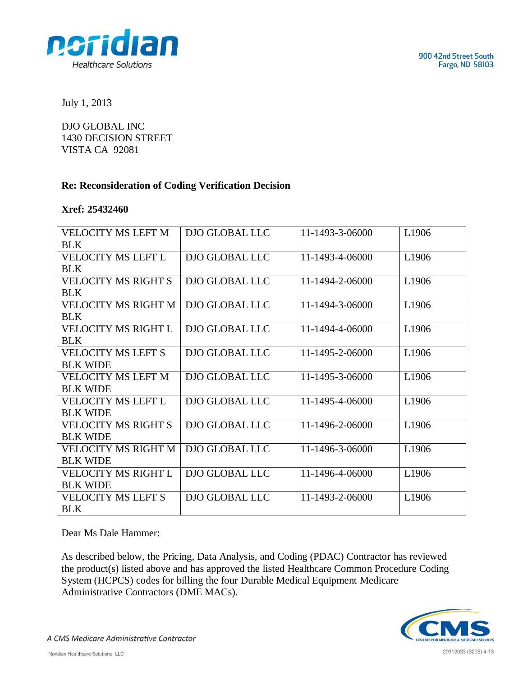

July 1, 2013

DJO GLOBAL INC 1430 DECISION STREET VISTA CA 92081

## **Re: Reconsideration of Coding Verification Decision**

## **Xref: 25432460**

| <b>VELOCITY MS LEFT M</b>  | DJO GLOBAL LLC | 11-1493-3-06000 | L1906             |
|----------------------------|----------------|-----------------|-------------------|
| <b>BLK</b>                 |                |                 |                   |
| <b>VELOCITY MS LEFT L</b>  | DJO GLOBAL LLC | 11-1493-4-06000 | L <sub>1906</sub> |
| BLK                        |                |                 |                   |
| <b>VELOCITY MS RIGHT S</b> | DJO GLOBAL LLC | 11-1494-2-06000 | L <sub>1906</sub> |
| BLK                        |                |                 |                   |
| <b>VELOCITY MS RIGHT M</b> | DJO GLOBAL LLC | 11-1494-3-06000 | L <sub>1906</sub> |
| <b>BLK</b>                 |                |                 |                   |
| VELOCITY MS RIGHT L        | DJO GLOBAL LLC | 11-1494-4-06000 | L <sub>1906</sub> |
| <b>BLK</b>                 |                |                 |                   |
| <b>VELOCITY MS LEFT S</b>  | DJO GLOBAL LLC | 11-1495-2-06000 | L1906             |
| <b>BLK WIDE</b>            |                |                 |                   |
| VELOCITY MS LEFT M         | DJO GLOBAL LLC | 11-1495-3-06000 | L <sub>1906</sub> |
| <b>BLK WIDE</b>            |                |                 |                   |
| VELOCITY MS LEFT L         | DJO GLOBAL LLC | 11-1495-4-06000 | L <sub>1906</sub> |
| <b>BLK WIDE</b>            |                |                 |                   |
| <b>VELOCITY MS RIGHT S</b> | DJO GLOBAL LLC | 11-1496-2-06000 | L1906             |
| <b>BLK WIDE</b>            |                |                 |                   |
| VELOCITY MS RIGHT M        | DJO GLOBAL LLC | 11-1496-3-06000 | L <sub>1906</sub> |
| <b>BLK WIDE</b>            |                |                 |                   |
| VELOCITY MS RIGHT L        | DJO GLOBAL LLC | 11-1496-4-06000 | L <sub>1906</sub> |
| <b>BLK WIDE</b>            |                |                 |                   |
| <b>VELOCITY MS LEFT S</b>  | DJO GLOBAL LLC | 11-1493-2-06000 | L1906             |
| <b>BLK</b>                 |                |                 |                   |

Dear Ms Dale Hammer:

As described below, the Pricing, Data Analysis, and Coding (PDAC) Contractor has reviewed the product(s) listed above and has approved the listed Healthcare Common Procedure Coding System (HCPCS) codes for billing the four Durable Medical Equipment Medicare Administrative Contractors (DME MACs).



A CMS Medicare Administrative Contractor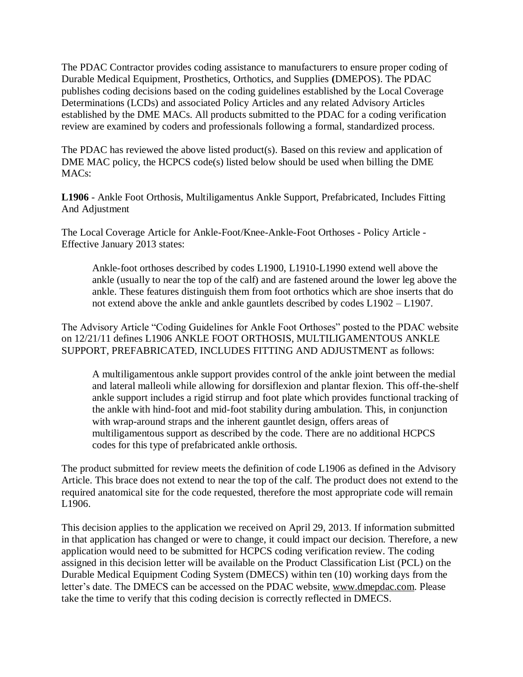The PDAC Contractor provides coding assistance to manufacturers to ensure proper coding of Durable Medical Equipment, Prosthetics, Orthotics, and Supplies **(**DMEPOS). The PDAC publishes coding decisions based on the coding guidelines established by the Local Coverage Determinations (LCDs) and associated Policy Articles and any related Advisory Articles established by the DME MACs. All products submitted to the PDAC for a coding verification review are examined by coders and professionals following a formal, standardized process.

The PDAC has reviewed the above listed product(s). Based on this review and application of DME MAC policy, the HCPCS code(s) listed below should be used when billing the DME MACs:

**L1906** - Ankle Foot Orthosis, Multiligamentus Ankle Support, Prefabricated, Includes Fitting And Adjustment

The Local Coverage Article for Ankle-Foot/Knee-Ankle-Foot Orthoses - Policy Article - Effective January 2013 states:

Ankle-foot orthoses described by codes L1900, L1910-L1990 extend well above the ankle (usually to near the top of the calf) and are fastened around the lower leg above the ankle. These features distinguish them from foot orthotics which are shoe inserts that do not extend above the ankle and ankle gauntlets described by codes L1902 – L1907.

The Advisory Article "Coding Guidelines for Ankle Foot Orthoses" posted to the PDAC website on 12/21/11 defines L1906 ANKLE FOOT ORTHOSIS, MULTILIGAMENTOUS ANKLE SUPPORT, PREFABRICATED, INCLUDES FITTING AND ADJUSTMENT as follows:

A multiligamentous ankle support provides control of the ankle joint between the medial and lateral malleoli while allowing for dorsiflexion and plantar flexion. This off-the-shelf ankle support includes a rigid stirrup and foot plate which provides functional tracking of the ankle with hind-foot and mid-foot stability during ambulation. This, in conjunction with wrap-around straps and the inherent gauntlet design, offers areas of multiligamentous support as described by the code. There are no additional HCPCS codes for this type of prefabricated ankle orthosis.

The product submitted for review meets the definition of code L1906 as defined in the Advisory Article. This brace does not extend to near the top of the calf. The product does not extend to the required anatomical site for the code requested, therefore the most appropriate code will remain L1906.

This decision applies to the application we received on April 29, 2013. If information submitted in that application has changed or were to change, it could impact our decision. Therefore, a new application would need to be submitted for HCPCS coding verification review. The coding assigned in this decision letter will be available on the Product Classification List (PCL) on the Durable Medical Equipment Coding System (DMECS) within ten (10) working days from the letter's date. The DMECS can be accessed on the PDAC website, www.dmepdac.com. Please take the time to verify that this coding decision is correctly reflected in DMECS.